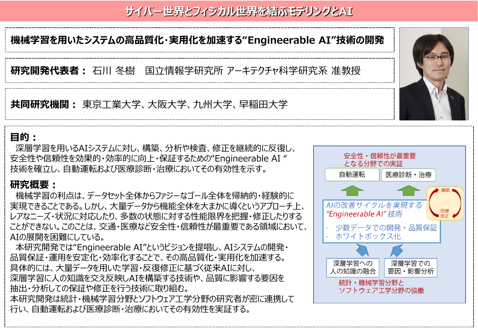# **サイバー世界とフィジカル世界を結ぶモデリングとAI**

## **機械学習を用いたシステムの高品質化・実用化を加速する"Engineerable AI"技術の開発**

**研究開発代表者:** 石川 冬樹 国立情報学研究所 アーキテクチャ科学研究系 准教授

**共同研究機関:** 東京工業大学、大阪大学、九州大学、早稲田大学

#### **目的:**

深層学習を用いるAIシステムに対し、構築、分析や検査、修正を継続的に反復し、 安全性や信頼性を効果的・効率的に向上・保証するための"Engineerable AI " 技術を確立し、自動運転および医療診断・治療においてその有効性を示す。

### **研究概要:**

機械学習の利点は、データセット全体からファジーなゴール全体を帰納的・経験的に 実現できることである。しかし、大量データから機能全体を大まかに導くというアプローチ上、 レアなニーズ・状況に対応したり、多数の状態に対する性能限界を把握・修正したりする ことができない。このことは、交通・医療など安全性・信頼性が最重要である領域において、 AIの展開を困難にしている。

本研究開発では"Engineerable AI"というビジョンを提唱し、AIシステムの開発・ 品質保証・運用を安定化・効率化することで、その高品質化・実用化を加速する。 具体的には、大量データを用いた学習・反復修正に基づく従来AIに対し、 深層学習に人の知識を交え反映しAIを構築する技術や、品質に影響する要因を 抽出・分析しての保証や修正を行う技術に取り組む。 本研究開発は統計・機械学習分野とソフトウェア工学分野の研究者が密に連携して 行い、自動運転および医療診断・治療においてその有効性を実証する。